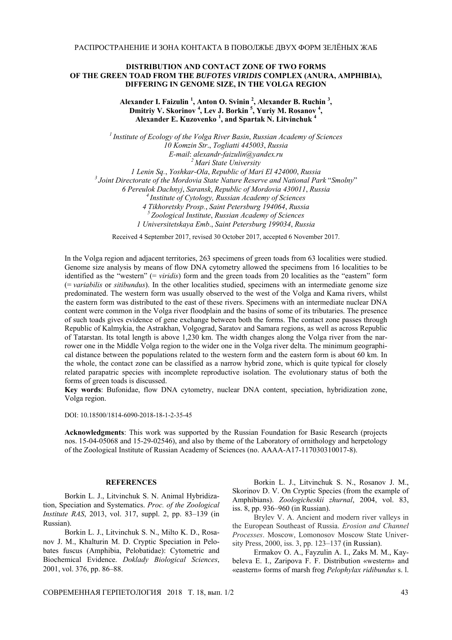## **DISTRIBUTION AND CONTACT ZONE OF TWO FORMS OF THE GREEN TOAD FROM THE** *BUFOTES VIRIDIS* **COMPLEX (ANURA, AMPHIBIA), DIFFERING IN GENOME SIZE, IN THE VOLGA REGION**

Alexander I. Faizulin<sup>1</sup>, Anton O. Svinin<sup>2</sup>, Alexander B. Ruchin<sup>3</sup>, Dmitriy V. Skorinov<sup>4</sup>, Lev J. Borkin<sup>5</sup>, Yuriy M. Rosanov<sup>4</sup>, **Alexander E. Kuzovenko <sup>1</sup> , and Spartak N. Litvinchuk <sup>4</sup>**

*1 Institute of Ecology of the Volga River Basin*, *Russian Academy of Sciences 10 Komzin Str*., *Togliatti 445003*, *Russia E-mail*: *alexandr-faizulin*@*yandex.ru 2 Mari State University 1 Lenin Sq.*, *Yoshkar-Ola*, *Republic of Mari El 424000*, *Russia 3 Joint Directorate of the Mordovia State Nature Reserve and National Park* "*Smolny*" *6 Pereulok Dachnyj*, *Saransk*, *Republic of Mordovia 430011*, *Russia 4 Institute of Cytology, Russian Academy of Sciences 4 Tikhoretsky Prosp.*, *Saint Petersburg 194064*, *Russia 5 Zoological Institute*, *Russian Academy of Sciences 1 Universitetskaya Emb*., *Saint Petersburg 199034*, *Russia*

Received 4 September 2017, revised 30 October 2017, accepted 6 November 2017.

In the Volga region and adjacent territories, 263 specimens of green toads from 63 localities were studied. Genome size analysis by means of flow DNA cytometry allowed the specimens from 16 localities to be identified as the "western" (= *viridis*) form and the green toads from 20 localities as the "eastern" form (= *variabilis* or *sitibundus*). In the other localities studied, specimens with an intermediate genome size predominated. The western form was usually observed to the west of the Volga and Kama rivers, whilst the eastern form was distributed to the east of these rivers. Specimens with an intermediate nuclear DNA content were common in the Volga river floodplain and the basins of some of its tributaries. The presence of such toads gives evidence of gene exchange between both the forms. The contact zone passes through Republic of Kalmykia, the Astrakhan, Volgograd, Saratov and Samara regions, as well as across Republic of Tatarstan. Its total length is above 1,230 km. The width changes along the Volga river from the narrower one in the Middle Volga region to the wider one in the Volga river delta. The minimum geographical distance between the populations related to the western form and the eastern form is about 60 km. In the whole, the contact zone can be classified as a narrow hybrid zone, which is quite typical for closely related parapatric species with incomplete reproductive isolation. The evolutionary status of both the forms of green toads is discussed.

**Key words**: Bufonidae, flow DNA cytometry, nuclear DNA content, speciation, hybridization zone, Volga region.

DOI: 10.18500/1814-6090-2018-18-1-2-35-45

**Acknowledgments**: This work was supported by the Russian Foundation for Basic Research (projects nos. 15-04-05068 and 15-29-02546), and also by theme of the Laboratory of ornithology and herpetology of the Zoological Institute of Russian Academy of Sciences (no. AAAA-A17-117030310017-8).

## **REFERENCES**

Borkin L. J., Litvinchuk S. N. Animal Hybridization, Speciation and Systematics. *Proc. of the Zoological Institute RAS*, 2013, vol. 317, suppl. 2, pp. 83–139 (in Russian).

Borkin L. J., Litvinchuk S. N., Milto K. D., Rosanov J. M., Khalturin M. D. Cryptic Speciation in Pelobates fuscus (Amphibia, Pelobatidae): Cytometric and Biochemical Evidence. *Doklady Biological Sciences*, 2001, vol. 376, pp. 86–88.

Borkin L. J., Litvinchuk S. N., Rosanov J. M., Skorinov D. V. On Cryptic Species (from the example of Amphibians). *Zoologicheskii zhurnal*, 2004, vol. 83, iss. 8, pp. 936–960 (in Russian).

Brylev V. A. Ancient and modern river valleys in the European Southeast of Russia. *Erosion and Channel Processes*. Moscow, Lomonosov Moscow State University Press, 2000, iss. 3, pp. 123–137 (in Russian).

Ermakov O. A., Fayzulin A. I., Zaks M. M., Kaybeleva E. I., Zaripova F. F. Distribution «western» and «eastern» forms of marsh frog *Pelophylax ridibundus* s. l.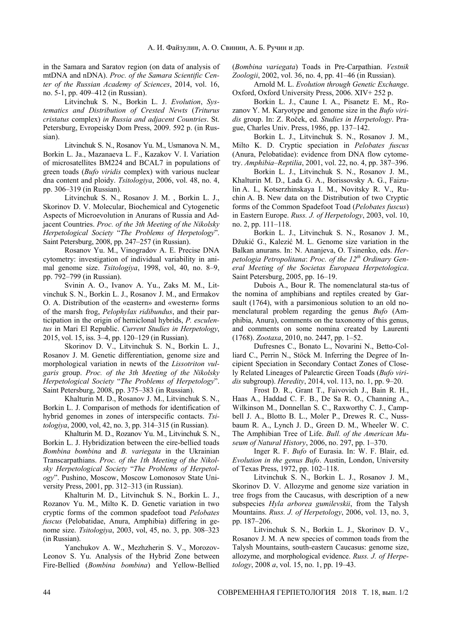in the Samara and Saratov region (on data of analysis of mtDNA and nDNA). *Proc. of the Samara Scientific Center of the Russian Academy of Sciences*, 2014, vol. 16, no. 5-1, pp. 409–412 (in Russian).

Litvinchuk S. N., Borkin L. J. *Evolution*, *Systematics and Distribution of Crested Newts* (*Triturus cristatus* complex) *in Russia and adjacent Countries*. St. Petersburg, Evropeisky Dom Press, 2009. 592 p. (in Russian).

Litvinchuk S. N., Rosanov Yu. M., Usmanova N. M., Borkin L. Ja., Mazanaeva L. F., Kazakov V. I. Variation of microsatellites BM224 and BCAL7 in populations of green toads (*Bufo viridis* complex) with various nuclear dna content and ploidy. *Tsitologiya*, 2006, vol. 48, no. 4, pp. 306–319 (in Russian).

Litvinchuk S. N., Rosanov J. M. , Borkin L. J., Skorinov D. V. Molecular, Biochemical and Cytogenetic Aspects of Microevolution in Anurans of Russia and Adjacent Countries. *Proc. of the 3th Meeting of the Nikolsky Herpetological Society* "*The Problems of Herpetology*". Saint Petersburg, 2008, pp. 247–257 (in Russian).

Rosanov Yu. M., Vinogradov A. E. Precise DNA cytometry: investigation of individual variability in animal genome size. *Tsitologiya*, 1998, vol, 40, no. 8–9, pp. 792–799 (in Russian).

Svinin A. O., Ivanov A. Yu., Zaks M. M., Litvinchuk S. N., Borkin L. J., Rosanov J. M., and Ermakov O. A. Distribution of the «eastern» and «western» forms of the marsh frog, *Pelophylax ridibundus*, and their participation in the origin of hemiclonal hybrids, *P. esculentus* in Mari El Republic. *Current Studies in Herpetology*, 2015, vol. 15, iss. 3–4, pp. 120–129 (in Russian).

Skorinov D. V., Litvinchuk S. N., Borkin L. J., Rosanov J. M. Genetic differentiation, genome size and morphological variation in newts of the *Lissotriton vulgaris* group. *Proc. of the 3th Meeting of the Nikolsky Herpetological Society* "*The Problems of Herpetology*". Saint Petersburg, 2008, pp. 375–383 (in Russian).

Khalturin M. D., Rosanov J. M., Litvinchuk S. N., Borkin L. J. Comparison of methods for identification of hybrid genomes in zones of interspecific contacts. *Tsitologiya*, 2000, vol, 42, no. 3, pp. 314–315 (in Russian).

Khalturin M. D., Rozanov Yu. M., Litvinchuk S. N., Borkin L. J. Hybridization between the eire-bellied toads *Bombina bombina* and *B. variegata* in the Ukrainian Transcarpathians. *Proc. of the 1th Meeting of the Nikolsky Herpetological Society* "*The Problems of Herpetology*". Pushino, Moscow, Moscow Lomonosov State University Press, 2001, pp. 312–313 (in Russian).

Khalturin M. D., Litvinchuk S. N., Borkin L. J., Rozanov Yu. M., Milto K. D. Genetic variation in two cryptic forms of the common spadefoot toad *Pelobates fuscus* (Pelobatidae, Anura, Amphibia) differing in genome size. *Tsitologiya*, 2003, vol, 45, no. 3, pp. 308–323 (in Russian).

Yanchukov A. W., Mezhzherin S. V., Morozov-Leonov S. Yu. Analysis of the Hybrid Zone between Fire-Bellied (*Bombina bombina*) and Yellow-Bellied (*Bombina variegata*) Toads in Pre-Carpathian. *Vestnik Zoologii*, 2002, vol. 36, no. 4, pp. 41–46 (in Russian).

Arnold M. L. *Evolution through Genetic Exchange*. Oxford, Oxford University Press, 2006. XIV+ 252 p.

Borkin L. J., Caune I. A., Pisanetz E. M., Rozanov Y. M. Karyotype and genome size in the *Bufo viridis* group. In: Z. Roček, ed. *Studies in Herpetology*. Prague, Charles Univ. Press, 1986, pp. 137–142.

Borkin L. J., Litvinchuk S. N., Rosanov J. M., Milto K. D. Cryptic speciation in *Pelobates fuscus*  (Anura, Pelobatidae): evidence from DNA flow cytometry. *Amphibia*–*Reptilia*, 2001, vol. 22, no. 4, pp. 387–396.

Borkin L. J., Litvinchuk S. N., Rosanov J. M., Khalturin M. D., Lada G. A., Borissovsky A. G., Faizulin A. I., Kotserzhinskaya I. M., Novitsky R. V., Ruchin A. B. New data on the Distribution of two Cryptic forms of the Common Spadefoot Toad (*Pelobates fuscus*) in Eastern Europe. *Russ. J. of Herpetology*, 2003, vol. 10, no. 2, pp. 111–118.

Borkin L. J., Litvinchuk S. N., Rosanov J. M., Džukić G., Kalezić M. L. Genome size variation in the Balkan anurans. In: N. Ananjeva, O. Tsinenko, eds. *Herpetologia Petropolitana*: *Proc. of the 12th Ordinary General Meeting of the Societas Europaea Herpetologica*. Saint Petersburg, 2005, pp. 16–19.

Dubois A., Bour R. The nomenclatural sta-tus of the nomina of amphibians and reptiles created by Garsault (1764), with a parsimonious solution to an old nomenclatural problem regarding the genus *Bufo* (Amphibia, Anura), comments on the taxonomy of this genus, and comments on some nomina created by Laurenti (1768). *Zootaxa*, 2010, no. 2447, pp. 1–52.

Dufresnes C., Bonato L., Novarini N., Betto-Colliard C., Perrin N., Stöck M. Inferring the Degree of Incipient Speciation in Secondary Contact Zones of Closely Related Lineages of Palearctic Green Toads (*Bufo viridis* subgroup). *Heredity*, 2014, vol. 113, no. 1, pp. 9–20.

Frost D. R., Grant T., Faivovich J., Bain R. H., Haas A., Haddad C. F. B., De Sa R. O., Channing A., Wilkinson M., Donnellan S. C., Raxworthy C. J., Campbell J. A., Blotto B. L., Moler P., Drewes R. C., Nussbaum R. A., Lynch J. D., Green D. M., Wheeler W. C. The Amphibian Tree of Life. *Bull. of the American Museum of Natural History*, 2006, no. 297, pp. 1–370.

Inger R. F. *Bufo* of Eurasia. In: W. F. Blair, ed. *Evolution in the genus Bufo*. Austin, London, University of Texas Press, 1972, pp. 102–118.

Litvinchuk S. N., Borkin L. J., Rosanov J. M., Skorinov D. V. Allozyme and genome size variation in tree frogs from the Caucasus, with description of a new subspecies *Hyla arborea gumilevskii*, from the Talysh Mountains. *Russ. J. of Herpetology*, 2006, vol. 13, no. 3, pp. 187–206.

Litvinchuk S. N., Borkin L. J., Skorinov D. V., Rosanov J. M. A new species of common toads from the Talysh Mountains, south-eastern Caucasus: genome size, allozyme, and morphological evidence. *Russ. J. of Herpetology*, 2008 *a*, vol. 15, no. 1, pp. 19–43.